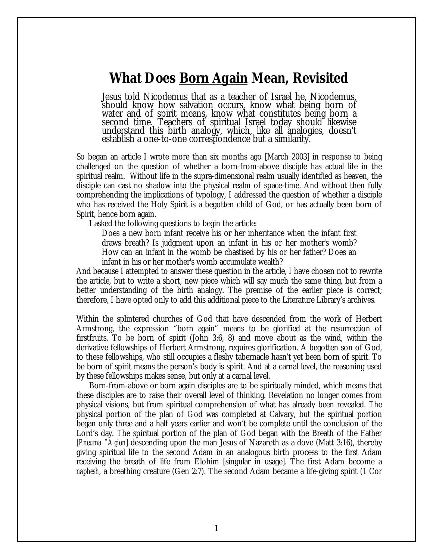## *What Does Born Again Mean***, Revisited**

Jesus told Nicodemus that as a teacher of Israel he, Nicodemus, should know how salvation occurs, know what being born of water and of spirit means, know what constitutes being born a second time. Teachers of spiritual Israel today should likewise understand this birth analogy, which, like all analogies, doesn't establish a one-to-one correspondence but a similarity.

So began an article I wrote more than six months ago [March 2003] in response to being challenged on the question of whether a born-from-above disciple has actual life in the spiritual realm. Without life in the supra-dimensional realm usually identified as heaven, the disciple can cast no shadow into the physical realm of space-time. And without then fully comprehending the implications of typology, I addressed the question of whether a disciple who has received the Holy Spirit is a begotten child of God, or has actually been born of Spirit, hence born again.

I asked the following questions to begin the article:

Does a new born infant receive his or her inheritance when the infant first draws breath? Is judgment upon an infant in his or her mother's womb? How can an infant in the womb be chastised by his or her father? Does an infant in his or her mother's womb accumulate wealth?

And because I attempted to answer these question in the article, I have chosen not to rewrite the article, but to write a short, new piece which will say much the same thing, but from a better understanding of the birth analogy. The premise of the earlier piece is correct; therefore, I have opted only to add this additional piece to the Literature Library's archives.

Within the splintered churches of God that have descended from the work of Herbert Armstrong, the expression "born again" means to be glorified at the resurrection of firstfruits. To be born of spirit (John 3:6, 8) and move about as the wind, within the derivative fellowships of Herbert Armstrong, requires glorification. A begotten son of God, to these fellowships, who still occupies a fleshy tabernacle hasn't yet been born of spirit. To be born of spirit means the person's body is spirit. And at a carnal level, the reasoning used by these fellowships makes sense, but only at a carnal level.

Born-from-above or born again disciples are to be spiritually minded, which means that these disciples are to raise their overall level of thinking. Revelation no longer comes from physical visions, but from spiritual comprehension of what has already been revealed. The physical portion of the plan of God was completed at Calvary, but the spiritual portion began only three and a half years earlier and won't be complete until the conclusion of the Lord's day. The spiritual portion of the plan of God began with the Breath of the Father [*Pneuma "Agion*] descending upon the man Jesus of Nazareth as a dove (Matt 3:16), thereby giving spiritual life to the second Adam in an analogous birth process to the first Adam receiving the breath of life from Elohim [singular in usage]. The first Adam become a *naphesh*, a breathing creature (Gen 2:7). The second Adam became a life-giving spirit (1 Cor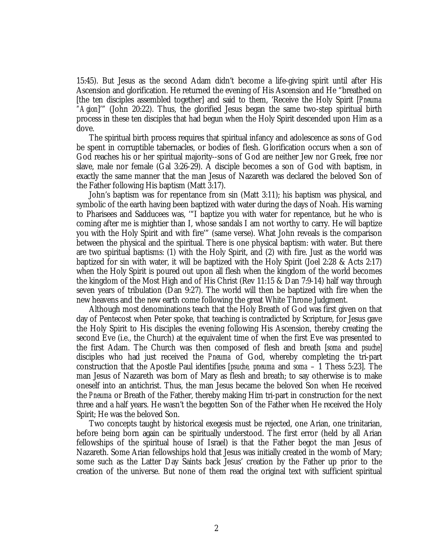15:45). But Jesus as the second Adam didn't become a life-giving spirit until after His Ascension and glorification. He returned the evening of His Ascension and He "breathed on [the ten disciples assembled together] and said to them, 'Receive the Holy Spirit [*Pneuma "Agion*]'" (John 20:22). Thus, the glorified Jesus began the same two-step spiritual birth process in these ten disciples that had begun when the Holy Spirit descended upon Him as a dove.

The spiritual birth process requires that spiritual infancy and adolescence as sons of God be spent in corruptible tabernacles, or bodies of flesh. Glorification occurs when a son of God reaches his or her spiritual majority--sons of God are neither Jew nor Greek, free nor slave, male nor female (Gal 3:26-29). A disciple becomes a son of God with baptism, in exactly the same manner that the man Jesus of Nazareth was declared the beloved Son of the Father following His baptism (Matt 3:17).

John's baptism was for repentance from sin (Matt 3:11); his baptism was physical, and symbolic of the earth having been baptized with water during the days of Noah. His warning to Pharisees and Sadducees was, '"I baptize you with water for repentance, but he who is coming after me is mightier than I, whose sandals I am not worthy to carry. He will baptize you with the Holy Spirit and with fire'" (same verse). What John reveals is the comparison between the physical and the spiritual. There is one physical baptism: with water. But there are two spiritual baptisms: (1) with the Holy Spirit, and (2) with fire. Just as the world was baptized for sin with water, it will be baptized with the Holy Spirit (Joel 2:28 & Acts 2:17) when the Holy Spirit is poured out upon all flesh when the kingdom of the world becomes the kingdom of the Most High and of His Christ (Rev 11:15 & Dan 7:9-14) half way through seven years of tribulation (Dan 9:27). The world will then be baptized with fire when the new heavens and the new earth come following the great White Throne Judgment.

Although most denominations teach that the Holy Breath of God was first given on that day of Pentecost when Peter spoke, that teaching is contradicted by Scripture, for Jesus gave the Holy Spirit to His disciples the evening following His Ascension, thereby creating the second Eve (i.e., the Church) at the equivalent time of when the first Eve was presented to the first Adam. The Church was then composed of flesh and breath [*soma* and *psuche*] disciples who had just received the *Pneuma* of God, whereby completing the tri-part construction that the Apostle Paul identifies [*psuche, pneuma* and *soma* – 1 Thess 5:23]. The man Jesus of Nazareth was born of Mary as flesh and breath; to say otherwise is to make oneself into an antichrist. Thus, the man Jesus became the beloved Son when He received the *Pneuma* or Breath of the Father, thereby making Him tri-part in construction for the next three and a half years. He wasn't the begotten Son of the Father when He received the Holy Spirit; He was the beloved Son.

Two concepts taught by historical exegesis must be rejected, one Arian, one trinitarian, before being born again can be spiritually understood. The first error (held by all Arian fellowships of the spiritual house of Israel) is that the Father begot the man Jesus of Nazareth. Some Arian fellowships hold that Jesus was initially created in the womb of Mary; some such as the Latter Day Saints back Jesus' creation by the Father up prior to the creation of the universe. But none of them read the original text with sufficient spiritual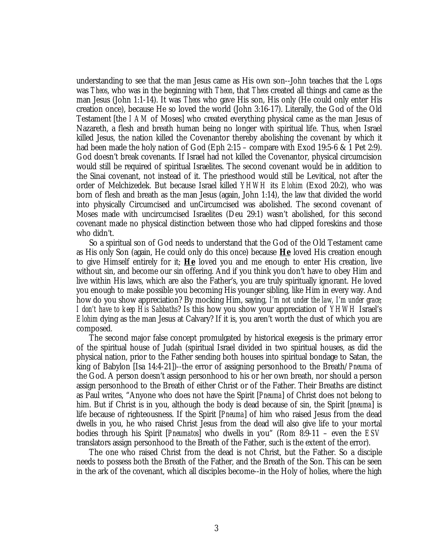understanding to see that the man Jesus came as His own son--John teaches that the *Logos* was *Theos*, who was in the beginning with *Theon*, that *Theos* created all things and came as the man Jesus (John 1:1-14). It was *Theos* who gave His son, His only (He could only enter His creation once), because He so loved the world (John 3:16-17). Literally, the God of the Old Testament [the *I AM* of Moses] who created everything physical came as the man Jesus of Nazareth, a flesh and breath human being no longer with spiritual life. Thus, when Israel killed Jesus, the nation killed the Covenantor thereby abolishing the covenant by which it had been made the holy nation of God (Eph 2:15 – compare with Exod 19:5-6 & 1 Pet 2:9). God doesn't break covenants. If Israel had not killed the Covenantor, physical circumcision would still be required of spiritual Israelites. The second covenant would be in addition to the Sinai covenant, not instead of it. The priesthood would still be Levitical, not after the order of Melchizedek. But because Israel killed *YHWH* its *Elohim* (Exod 20:2), who was born of flesh and breath as the man Jesus (again, John 1:14), the law that divided the world into physically Circumcised and unCircumcised was abolished. The second covenant of Moses made with uncircumcised Israelites (Deu 29:1) wasn't abolished, for this second covenant made no physical distinction between those who had clipped foreskins and those who didn't.

So a spiritual son of God needs to understand that the God of the Old Testament came as His only Son (again, He could only do this once) because **He** loved His creation enough to give Himself entirely for it; **He** loved you and me enough to enter His creation, live without sin, and become our sin offering. And if you think you don't have to obey Him and live within His laws, which are also the Father's, you are truly spiritually ignorant. He loved you enough to make possible you becoming His younger sibling, like Him in every way. And how do you show appreciation? By mocking Him, saying, *I'm not under the law, I'm under grace; I don't have to keep His Sabbaths*? Is this how you show your appreciation of *YHWH* Israel's *Elohim* dying as the man Jesus at Calvary? If it is, you aren't worth the dust of which you are composed.

The second major false concept promulgated by historical exegesis is the primary error of the spiritual house of Judah (spiritual Israel divided in two spiritual houses, as did the physical nation, prior to the Father sending both houses into spiritual bondage to Satan, the king of Babylon [Isa 14:4-21])--the error of assigning personhood to the Breath/*Pneuma* of the God. A person doesn't assign personhood to his or her own breath, nor should a person assign personhood to the Breath of either Christ or of the Father. Their Breaths are distinct as Paul writes, "Anyone who does not have the Spirit [*Pneuma*] of Christ does not belong to him. But if Christ is in you, although the body is dead because of sin, the Spirit [*pneuma*] is life because of righteousness. If the Spirit [*Pneuma*] of him who raised Jesus from the dead dwells in you, he who raised Christ Jesus from the dead will also give life to your mortal bodies through his Spirit [*Pneumatos*] who dwells in you" (Rom 8:9-11 – even the *ESV* translators assign personhood to the Breath of the Father, such is the extent of the error).

The one who raised Christ from the dead is not Christ, but the Father. So a disciple needs to possess both the Breath of the Father, and the Breath of the Son. This can be seen in the ark of the covenant, which all disciples become--in the Holy of holies, where the high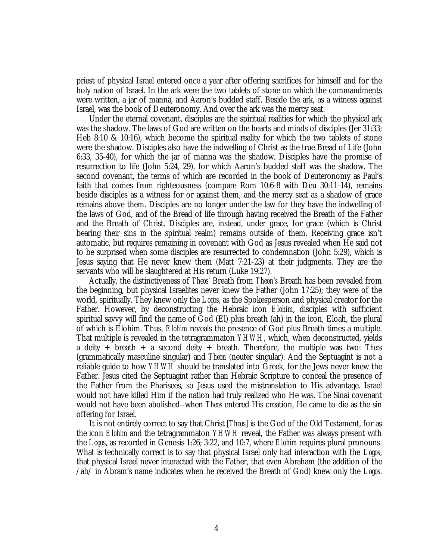priest of physical Israel entered once a year after offering sacrifices for himself and for the holy nation of Israel. In the ark were the two tablets of stone on which the commandments were written, a jar of manna, and Aaron's budded staff. Beside the ark, as a witness against Israel, was the book of Deuteronomy. And over the ark was the mercy seat.

Under the eternal covenant, disciples are the spiritual realities for which the physical ark was the shadow. The laws of God are written on the hearts and minds of disciples (Jer 31:33; Heb 8:10 & 10:16), which become the spiritual reality for which the two tablets of stone were the shadow. Disciples also have the indwelling of Christ as the true Bread of Life (John 6:33, 35-40), for which the jar of manna was the shadow. Disciples have the promise of resurrection to life (John 5:24, 29), for which Aaron's budded staff was the shadow. The second covenant, the terms of which are recorded in the book of Deuteronomy as Paul's faith that comes from righteousness (compare Rom 10:6-8 with Deu 30:11-14), remains beside disciples as a witness for or against them, and the mercy seat as a shadow of grace remains above them. Disciples are no longer under the law for they have the indwelling of the laws of God, and of the Bread of life through having received the Breath of the Father and the Breath of Christ. Disciples are, instead, under grace, for grace (which is Christ bearing their sins in the spiritual realm) remains outside of them. Receiving grace isn't automatic, but requires remaining in covenant with God as Jesus revealed when He said not to be surprised when some disciples are resurrected to condemnation (John 5:29), which is Jesus saying that He never knew them (Matt 7:21-23) at their judgments. They are the servants who will be slaughtered at His return (Luke 19:27).

Actually, the distinctiveness of *Theos'* Breath from *Theon's* Breath has been revealed from the beginning, but physical Israelites never knew the Father (John 17:25); they were of the world, spiritually. They knew only the *Logos*, as the Spokesperson and physical creator for the Father. However, by deconstructing the Hebraic icon *Elohim*, disciples with sufficient spiritual savvy will find the name of God (El) plus breath (ah) in the icon, Eloah, the plural of which is Elohim. Thus, *Elohim* reveals the presence of God plus Breath times a multiple. That multiple is revealed in the tetragrammaton *YHWH*, which, when deconstructed, yields a deity + breath + a second deity + breath. Therefore, the multiple was two: *Theos* (grammatically masculine singular) and *Theon* (neuter singular). And the Septuagint is not a reliable guide to how *YHWH* should be translated into Greek, for the Jews never knew the Father. Jesus cited the Septuagint rather than Hebraic Scripture to conceal the presence of the Father from the Pharisees, so Jesus used the mistranslation to His advantage. Israel would not have killed Him if the nation had truly realized who He was. The Sinai covenant would not have been abolished--when *Theos* entered His creation, He came to die as the sin offering for Israel.

It is not entirely correct to say that Christ [*Theos*] is the God of the Old Testament, for as the icon *Elohim* and the tetragrammaton *YHWH* reveal, the Father was always present with the *Logos*, as recorded in Genesis 1:26; 3:22, and 10:7, where *Elohim* requires plural pronouns. What is technically correct is to say that physical Israel only had interaction with the *Logos*, that physical Israel never interacted with the Father, that even Abraham (the addition of the /ah/ in Abram's name indicates when he received the Breath of God) knew only the *Logos*.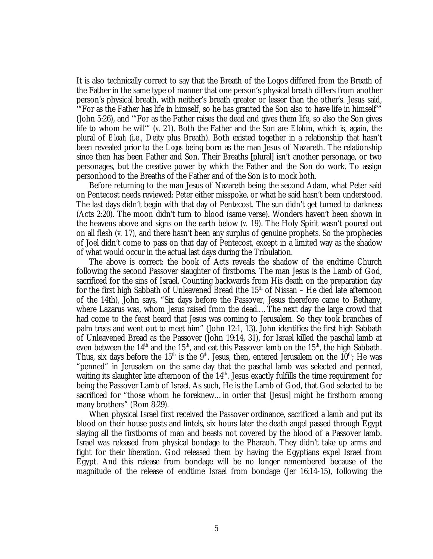It is also technically correct to say that the Breath of the Logos differed from the Breath of the Father in the same type of manner that one person's physical breath differs from another person's physical breath, with neither's breath greater or lesser than the other's. Jesus said, '"For as the Father has life in himself, so he has granted the Son also to have life in himself'" (John 5:26), and '"For as the Father raises the dead and gives them life, so also the Son gives life to whom he will'" (*v.* 21). Both the Father and the Son are *Elohim*, which is, again, the plural of *Eloah* (i.e., Deity plus Breath). Both existed together in a relationship that hasn't been revealed prior to the *Logos* being born as the man Jesus of Nazareth. The relationship since then has been Father and Son. Their Breaths [plural] isn't another personage, or two personages, but the creative power by which the Father and the Son do work. To assign personhood to the Breaths of the Father and of the Son is to mock both.

Before returning to the man Jesus of Nazareth being the second Adam, what Peter said on Pentecost needs reviewed: Peter either misspoke, or what he said hasn't been understood. The last days didn't begin with that day of Pentecost. The sun didn't get turned to darkness (Acts 2:20). The moon didn't turn to blood (same verse). Wonders haven't been shown in the heavens above and signs on the earth below (*v.* 19). The Holy Spirit wasn't poured out on all flesh (*v.* 17), and there hasn't been any surplus of genuine prophets. So the prophecies of Joel didn't come to pass on that day of Pentecost, except in a limited way as the shadow of what would occur in the actual last days during the Tribulation.

The above is correct: the book of Acts reveals the shadow of the endtime Church following the second Passover slaughter of firstborns. The man Jesus is the Lamb of God, sacrificed for the sins of Israel. Counting backwards from His death on the preparation day for the first high Sabbath of Unleavened Bread (the  $15<sup>th</sup>$  of Nissan – He died late afternoon of the 14th), John says, "Six days before the Passover, Jesus therefore came to Bethany, where Lazarus was, whom Jesus raised from the dead.… The next day the large crowd that had come to the feast heard that Jesus was coming to Jerusalem. So they took branches of palm trees and went out to meet him" (John 12:1, 13). John identifies the first high Sabbath of Unleavened Bread as the Passover (John 19:14, 31), for Israel killed the paschal lamb at even between the  $14<sup>th</sup>$  and the  $15<sup>th</sup>$ , and eat this Passover lamb on the  $15<sup>th</sup>$ , the high Sabbath. Thus, six days before the 15<sup>th</sup> is the 9<sup>th</sup>. Jesus, then, entered Jerusalem on the  $10^{th}$ ; He was "penned" in Jerusalem on the same day that the paschal lamb was selected and penned, waiting its slaughter late afternoon of the 14<sup>th</sup>. Jesus exactly fulfills the time requirement for being the Passover Lamb of Israel. As such, He is the Lamb of God, that God selected to be sacrificed for "those whom he foreknew… in order that [Jesus] might be firstborn among many brothers" (Rom 8:29).

When physical Israel first received the Passover ordinance, sacrificed a lamb and put its blood on their house posts and lintels, six hours later the death angel passed through Egypt slaying all the firstborns of man and beasts not covered by the blood of a Passover lamb. Israel was released from physical bondage to the Pharaoh. They didn't take up arms and fight for their liberation. God released them by having the Egyptians expel Israel from Egypt. And this release from bondage will be no longer remembered because of the magnitude of the release of endtime Israel from bondage (Jer 16:14-15), following the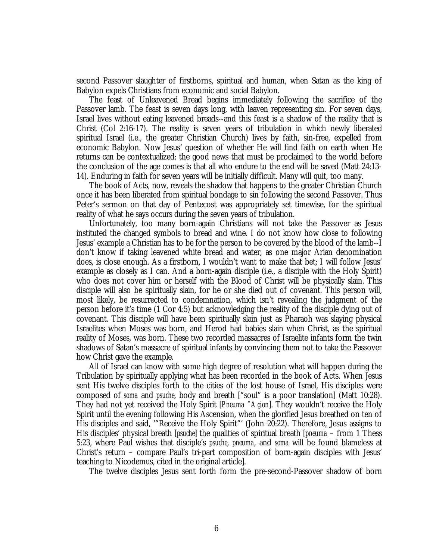second Passover slaughter of firstborns, spiritual and human, when Satan as the king of Babylon expels Christians from economic and social Babylon.

The feast of Unleavened Bread begins immediately following the sacrifice of the Passover lamb. The feast is seven days long, with leaven representing sin. For seven days, Israel lives without eating leavened breads--and this feast is a shadow of the reality that is Christ (Col 2:16-17). The reality is seven years of tribulation in which newly liberated spiritual Israel (i.e., the greater Christian Church) lives by faith, sin-free, expelled from economic Babylon. Now Jesus' question of whether He will find faith on earth when He returns can be contextualized: the good news that must be proclaimed to the world before the conclusion of the age comes is that all who endure to the end will be saved (Matt 24:13- 14). Enduring in faith for seven years will be initially difficult. Many will quit, too many.

The book of Acts, now, reveals the shadow that happens to the greater Christian Church once it has been liberated from spiritual bondage to sin following the second Passover. Thus Peter's sermon on that day of Pentecost was appropriately set timewise, for the spiritual reality of what he says occurs during the seven years of tribulation.

Unfortunately, too many born-again Christians will not take the Passover as Jesus instituted the changed symbols to bread and wine. I do not know how close to following Jesus' example a Christian has to be for the person to be covered by the blood of the lamb--I don't know if taking leavened white bread and water, as one major Arian denomination does, is close enough. As a firstborn, I wouldn't want to make that bet; I will follow Jesus' example as closely as I can. And a born-again disciple (i.e., a disciple with the Holy Spirit) who does not cover him or herself with the Blood of Christ will be physically slain. This disciple will also be spiritually slain, for he or she died out of covenant. This person will, most likely, be resurrected to condemnation, which isn't revealing the judgment of the person before it's time (1 Cor 4:5) but acknowledging the reality of the disciple dying out of covenant. This disciple will have been spiritually slain just as Pharaoh was slaying physical Israelites when Moses was born, and Herod had babies slain when Christ, as the spiritual reality of Moses, was born. These two recorded massacres of Israelite infants form the twin shadows of Satan's massacre of spiritual infants by convincing them not to take the Passover how Christ gave the example.

All of Israel can know with some high degree of resolution what will happen during the Tribulation by spiritually applying what has been recorded in the book of Acts. When Jesus sent His twelve disciples forth to the cities of the lost house of Israel, His disciples were composed of *soma* and *psuche*, body and breath ["soul" is a poor translation] (Matt 10:28). They had not yet received the Holy Spirit [*Pneuma "Agion*]. They wouldn't receive the Holy Spirit until the evening following His Ascension, when the glorified Jesus breathed on ten of His disciples and said, '"Receive the Holy Spirit"' (John 20:22). Therefore, Jesus assigns to His disciples' physical breath [*psuche*] the qualities of spiritual breath [*pneuma* – from 1 Thess 5:23, where Paul wishes that disciple's *psuche*, *pneuma*, and *soma* will be found blameless at Christ's return – compare Paul's tri-part composition of born-again disciples with Jesus' teaching to Nicodemus, cited in the original article].

The twelve disciples Jesus sent forth form the pre-second-Passover shadow of born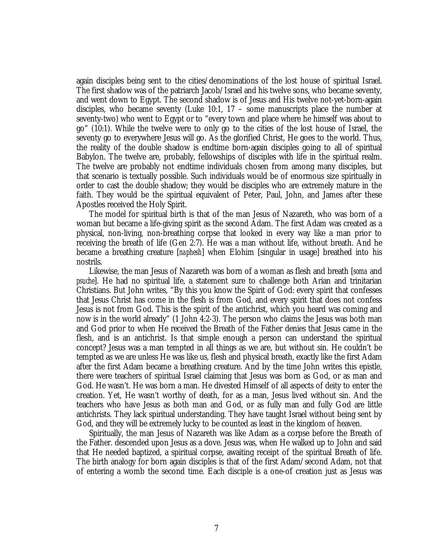again disciples being sent to the cities/denominations of the lost house of spiritual Israel. The first shadow was of the patriarch Jacob/Israel and his twelve sons, who became seventy, and went down to Egypt. The second shadow is of Jesus and His twelve not-yet-born-again disciples, who became seventy (Luke 10:1,  $17$  – some manuscripts place the number at seventy-two) who went to Egypt or to "every town and place where he himself was about to go" (10:1). While the twelve were to only go to the cities of the lost house of Israel, the seventy go to everywhere Jesus will go. As the glorified Christ, He goes to the world. Thus, the reality of the double shadow is endtime born-again disciples going to all of spiritual Babylon. The twelve are, probably, fellowships of disciples with life in the spiritual realm. The twelve are probably not endtime individuals chosen from among many disciples, but that scenario is textually possible. Such individuals would be of enormous size spiritually in order to cast the double shadow; they would be disciples who are extremely mature in the faith. They would be the spiritual equivalent of Peter, Paul, John, and James after these Apostles received the Holy Spirit.

The model for spiritual birth is that of the man Jesus of Nazareth, who was born of a woman but became a life-giving spirit as the second Adam. The first Adam was created as a physical, non-living, non-breathing corpse that looked in every way like a man prior to receiving the breath of life (Gen 2:7). He was a man without life, without breath. And he became a breathing creature [*naphesh*] when Elohim [singular in usage] breathed into his nostrils.

Likewise, the man Jesus of Nazareth was born of a woman as flesh and breath [*soma* and *psuche*]. He had no spiritual life, a statement sure to challenge both Arian and trinitarian Christians. But John writes, "By this you know the Spirit of God: every spirit that confesses that Jesus Christ has come in the flesh is from God, and every spirit that does not confess Jesus is not from God. This is the spirit of the antichrist, which you heard was coming and now is in the world already" (1 John 4:2-3). The person who claims the Jesus was both man and God prior to when He received the Breath of the Father denies that Jesus came in the flesh, and is an antichrist. Is that simple enough a person can understand the spiritual concept? Jesus was a man tempted in all things as we are, but without sin. He couldn't be tempted as we are unless He was like us, flesh and physical breath, exactly like the first Adam after the first Adam became a breathing creature. And by the time John writes this epistle, there were teachers of spiritual Israel claiming that Jesus was born as God, or as man and God. He wasn't. He was born a man. He divested Himself of all aspects of deity to enter the creation. Yet, He wasn't worthy of death, for as a man, Jesus lived without sin. And the teachers who have Jesus as both man and God, or as fully man and fully God are little antichrists. They lack spiritual understanding. They have taught Israel without being sent by God, and they will be extremely lucky to be counted as least in the kingdom of heaven.

Spiritually, the man Jesus of Nazareth was like Adam as a corpse before the Breath of the Father. descended upon Jesus as a dove. Jesus was, when He walked up to John and said that He needed baptized, a spiritual corpse, awaiting receipt of the spiritual Breath of life. The birth analogy for born again disciples is that of the first Adam/second Adam, not that of entering a womb the second time. Each disciple is a one-of creation just as Jesus was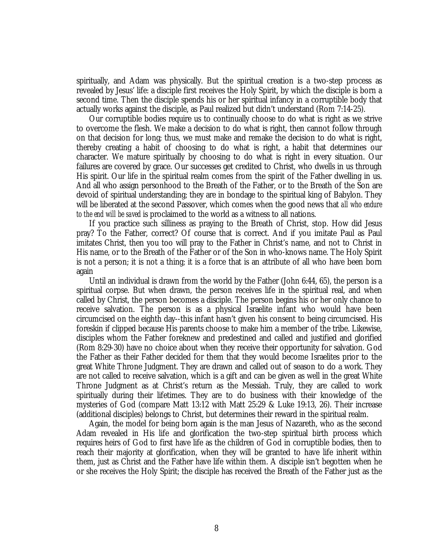spiritually, and Adam was physically. But the spiritual creation is a two-step process as revealed by Jesus' life: a disciple first receives the Holy Spirit, by which the disciple is born a second time. Then the disciple spends his or her spiritual infancy in a corruptible body that actually works against the disciple, as Paul realized but didn't understand (Rom 7:14-25).

Our corruptible bodies require us to continually choose to do what is right as we strive to overcome the flesh. We make a decision to do what is right, then cannot follow through on that decision for long; thus, we must make and remake the decision to do what is right, thereby creating a habit of choosing to do what is right, a habit that determines our character. We mature spiritually by choosing to do what is right in every situation. Our failures are covered by grace. Our successes get credited to Christ, who dwells in us through His spirit. Our life in the spiritual realm comes from the spirit of the Father dwelling in us. And all who assign personhood to the Breath of the Father, or to the Breath of the Son are devoid of spiritual understanding; they are in bondage to the spiritual king of Babylon. They will be liberated at the second Passover, which comes when the good news that *all who endure to the end will be saved* is proclaimed to the world as a witness to all nations.

If you practice such silliness as praying to the Breath of Christ, stop. How did Jesus pray? To the Father, correct? Of course that is correct. And if you imitate Paul as Paul imitates Christ, then you too will pray to the Father in Christ's name, and not to Christ in His name, or to the Breath of the Father or of the Son in who-knows name. The Holy Spirit is not a person; it is not a thing; it is a force that is an attribute of all who have been born again

Until an individual is drawn from the world by the Father (John 6:44, 65), the person is a spiritual corpse. But when drawn, the person receives life in the spiritual real, and when called by Christ, the person becomes a disciple. The person begins his or her only chance to receive salvation. The person is as a physical Israelite infant who would have been circumcised on the eighth day--this infant hasn't given his consent to being circumcised. His foreskin if clipped because His parents choose to make him a member of the tribe. Likewise, disciples whom the Father foreknew and predestined and called and justified and glorified (Rom 8:29-30) have no choice about when they receive their opportunity for salvation. God the Father as their Father decided for them that they would become Israelites prior to the great White Throne Judgment. They are drawn and called out of season to do a work. They are not called to receive salvation, which is a gift and can be given as well in the great White Throne Judgment as at Christ's return as the Messiah. Truly, they are called to work spiritually during their lifetimes. They are to do business with their knowledge of the mysteries of God (compare Matt 13:12 with Matt 25:29 & Luke 19:13, 26). Their increase (additional disciples) belongs to Christ, but determines their reward in the spiritual realm.

Again, the model for being born again is the man Jesus of Nazareth, who as the second Adam revealed in His life and glorification the two-step spiritual birth process which requires heirs of God to first have life as the children of God in corruptible bodies, then to reach their majority at glorification, when they will be granted to have life inherit within them, just as Christ and the Father have life within them. A disciple isn't begotten when he or she receives the Holy Spirit; the disciple has received the Breath of the Father just as the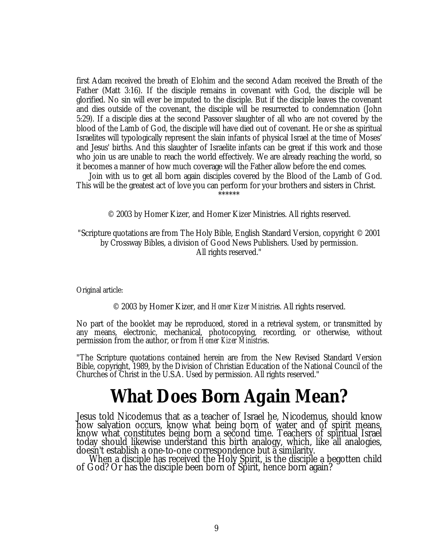first Adam received the breath of Elohim and the second Adam received the Breath of the Father (Matt 3:16). If the disciple remains in covenant with God, the disciple will be glorified. No sin will ever be imputed to the disciple. But if the disciple leaves the covenant and dies outside of the covenant, the disciple will be resurrected to condemnation (John 5:29). If a disciple dies at the second Passover slaughter of all who are not covered by the blood of the Lamb of God, the disciple will have died out of covenant. He or she as spiritual Israelites will typologically represent the slain infants of physical Israel at the time of Moses' and Jesus' births. And this slaughter of Israelite infants can be great if this work and those who join us are unable to reach the world effectively. We are already reaching the world, so it becomes a manner of how much coverage will the Father allow before the end comes.

Join with us to get all born again disciples covered by the Blood of the Lamb of God. This will be the greatest act of love you can perform for your brothers and sisters in Christ. \*\*\*\*\*\*

© 2003 by Homer Kizer, and Homer Kizer Ministries. All rights reserved.

"Scripture quotations are from The Holy Bible, English Standard Version, copyright © 2001 by Crossway Bibles, a division of Good News Publishers. Used by permission. All rights reserved."

Original article:

© 2003 by Homer Kizer, and *Homer Kizer Ministries*. All rights reserved.

No part of the booklet may be reproduced, stored in a retrieval system, or transmitted by any means, electronic, mechanical, photocopying, recording, or otherwise, without permission from the author, or from *Homer Kizer Ministries*.

"The Scripture quotations contained herein are from the New Revised Standard Version Bible, copyright, 1989, by the Division of Christian Education of the National Council of the Churches of Christ in the U.S.A. Used by permission. All rights reserved."

## **What Does** *Born Again* **Mean?**

Jesus told Nicodemus that as a teacher of Israel he, Nicodemus, should know how salvation occurs, know what being born of water and of spirit means, know what constitutes being born a second time. Teachers of spiritual Israel today should likewise understand this birth analogy, which, like all analogies, doesn't establish a one-to-one correspondence but a similarity.

When a disciple has received the Holy Spirit, is the disciple a begotten child of God? Or has the disciple been born of Spirit, hence born again?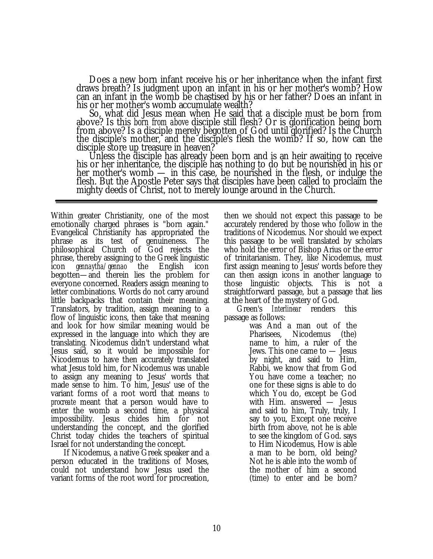Does a new born infant receive his or her inheritance when the infant first draws breath? Is judgment upon an infant in his or her mother's womb? How can an infant in the womb be chastised by his or her father? Does an infant in his or her mother's womb accumulate wealth?

So, what did Jesus mean when He said that a disciple must be born from above? Is this *born from above* disciple still flesh? Or is glorification being born from above? Is a disciple merely begotten of God until glorified? Is the Church the disciple's mother, and the disciple's flesh the womb? If so, how can the disciple store up treasure in heaven?

Unless the disciple has already been born and is an heir awaiting to receive his or her inheritance, the disciple has nothing to do but be nourished in his or her mother's womb — in this case, be nourished in the flesh, or indulge the flesh. But the Apostle Peter says that disciples have been called to proclaim the mighty deeds of Christ, not to merely lounge around in the Church.

Within greater Christianity, one of the most emotionally charged phrases is "born again." Evangelical Christianity has appropriated the phrase as its test of genuineness. The philosophical Church of God rejects the phrase, thereby assigning to the Greek linguistic icon *gennaytha/gennao* the English icon begotten— and therein lies the problem for everyone concerned. Readers assign meaning to letter combinations. Words do not carry around little backpacks that contain their meaning. Translators, by tradition, assign meaning to a flow of linguistic icons, then take that meaning and look for how similar meaning would be expressed in the language into which they are translating. Nicodemus didn't understand what Jesus said, so it would be impossible for Nicodemus to have then accurately translated what Jesus told him, for Nicodemus was unable to assign any meaning to Jesus' words that made sense to him. To him, Jesus' use of the variant forms of a root word that means *to procreate* meant that a person would have to enter the womb a second time, a physical impossibility. Jesus chides him for not understanding the concept, and the glorified Christ today chides the teachers of spiritual Israel for not understanding the concept.

If Nicodemus, a native Greek speaker and a person educated in the traditions of Moses, could not understand how Jesus used the variant forms of the root word for procreation, then we should not expect this passage to be accurately rendered by those who follow in the traditions of Nicodemus. Nor should we expect this passage to be well translated by scholars who hold the error of Bishop Arius or the error of trinitarianism. They, like Nicodemus, must first assign meaning to Jesus' words before they can then assign icons in another language to those linguistic objects. This is not a straightforward passage, but a passage that lies at the heart of the mystery of God.

Green's *Interlinear* renders this passage as follows:

was And a man out of the Pharisees, Nicodemus (the) name to him, a ruler of the Jews. This one came to — Jesus by night, and said to Him, Rabbi, we know that from God You have come a teacher; no one for these signs is able to do which You do, except be God with Him. answered — Jesus and said to him, Truly, truly, I say to you, Except one receive birth from above, not he is able to see the kingdom of God. says to Him Nicodemus, How is able a man to be born, old being? Not he is able into the womb of the mother of him a second (time) to enter and be born?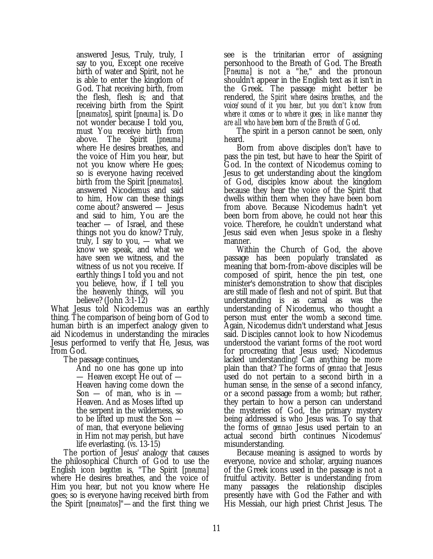answered Jesus, Truly, truly, I say to you, Except one receive birth of water and Spirit, not he is able to enter the kingdom of God. That receiving birth, from the flesh, flesh is; and that receiving birth from the Spirit [*pneumatos*], spirit [*pneuma*] is. Do not wonder because I told you, must You receive birth from above. The Spirit [*pneuma*] where He desires breathes, and the voice of Him you hear, but not you know where He goes; so is everyone having received birth from the Spirit [*pneumatos*]. answered Nicodemus and said to him, How can these things come about? answered — Jesus and said to him, You are the teacher — of Israel, and these things not you do know? Truly, truly, I say to you, — what we know we speak, and what we have seen we witness, and the witness of us not you receive. If earthly things I told you and not you believe, how, if I tell you the heavenly things, will you believe? (John 3:1-12)

What Jesus told Nicodemus was an earthly thing. The comparison of being born of God to human birth is an imperfect analogy given to aid Nicodemus in understanding the miracles Jesus performed to verify that He, Jesus, was from God.

The passage continues,

And no one has gone up into — Heaven except He out of — Heaven having come down the Son  $-$  of man, who is in  $-$ Heaven. And as Moses lifted up the serpent in the wilderness, so to be lifted up must the Son of man, that everyone believing in Him not may perish, but have life everlasting. (*vs*. 13-15)

The portion of Jesus' analogy that causes the philosophical Church of God to use the English icon *begotten* is, "The Spirit [*pneuma*] where He desires breathes, and the voice of Him you hear, but not you know where He goes; so is everyone having received birth from the Spirit [*pneumatos*]"— and the first thing we see is the trinitarian error of assigning personhood to the Breath of God. The Breath [*Pneuma*] is not a "he," and the pronoun shouldn't appear in the English text as it isn't in the Greek. The passage might better be rendered, *the Spirit where desires breathes, and the voice/sound of it you hear, but you don't know from where it comes or to where it goes; in like manner they are all who have been born of the Breath of God*.

The spirit in a person cannot be seen, only heard.

Born from above disciples don't have to pass the pin test, but have to hear the Spirit of God. In the context of Nicodemus coming to Jesus to get understanding about the kingdom of God, disciples know about the kingdom because they hear the voice of the Spirit that dwells within them when they have been born from above. Because Nicodemus hadn't yet been born from above, he could not hear this voice. Therefore, he couldn't understand what Jesus said even when Jesus spoke in a fleshy manner.

Within the Church of God, the above passage has been popularly translated as meaning that born-from-above disciples will be composed of spirit, hence the pin test, one minister's demonstration to show that disciples are still made of flesh and not of spirit. But that understanding is as carnal as was the understanding of Nicodemus, who thought a person must enter the womb a second time. Again, Nicodemus didn't understand what Jesus said. Disciples cannot look to how Nicodemus understood the variant forms of the root word for procreating that Jesus used; Nicodemus lacked understanding! Can anything be more plain than that? The forms of *gennao* that Jesus used do not pertain to a second birth in a human sense, in the sense of a second infancy, or a second passage from a womb; but rather, they pertain to how a person can understand the mysteries of God, the primary mystery being addressed is who Jesus was. To say that the forms of *gennao* Jesus used pertain to an actual second birth continues Nicodemus' misunderstanding.

Because meaning is assigned to words by everyone, novice and scholar, arguing nuances of the Greek icons used in the passage is not a fruitful activity. Better is understanding from many passages the relationship disciples presently have with God the Father and with His Messiah, our high priest Christ Jesus. The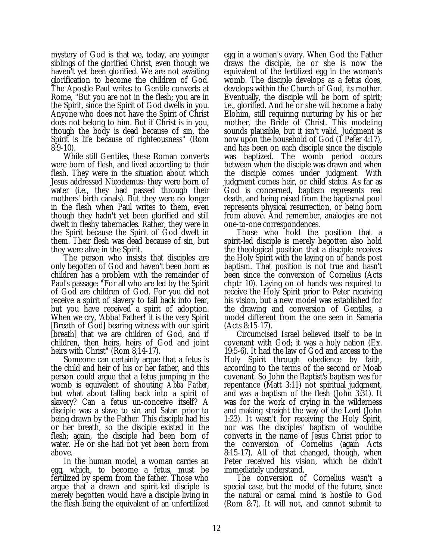mystery of God is that we, today, are younger siblings of the glorified Christ, even though we haven't yet been glorified. We are not awaiting glorification to become the children of God. The Apostle Paul writes to Gentile converts at Rome, "But you are not in the flesh; you are in the Spirit, since the Spirit of God dwells in you. Anyone who does not have the Spirit of Christ does not belong to him. But if Christ is in you, though the body is dead because of sin, the Spirit is life because of righteousness" (Rom 8:9-10).

While still Gentiles, these Roman converts were born of flesh, and lived according to their flesh. They were in the situation about which Jesus addressed Nicodemus: they were born of water (i.e., they had passed through their mothers' birth canals). But they were no longer in the flesh when Paul writes to them, even though they hadn't yet been glorified and still dwelt in fleshy tabernacles. Rather, they were in the Spirit because the Spirit of God dwelt in them. Their flesh was dead because of sin, but they were alive in the Spirit.

The person who insists that disciples are only begotten of God and haven't been born as children has a problem with the remainder of Paul's passage: "For all who are led by the Spirit of God are children of God. For you did not receive a spirit of slavery to fall back into fear, but you have received a spirit of adoption. When we cry, 'Abba! Father!' it is the very Spirit [Breath of God] bearing witness with our spirit [breath] that we are children of God, and if children, then heirs, heirs of God and joint heirs with Christ" (Rom 8;14-17).

Someone can certainly argue that a fetus is the child and heir of his or her father, and this person could argue that a fetus jumping in the womb is equivalent of shouting *Abba Father*, but what about falling back into a spirit of slavery? Can a fetus un-conceive itself? A disciple was a slave to sin and Satan prior to being drawn by the Father. This disciple had his or her breath, so the disciple existed in the flesh; again, the disciple had been born of water. He or she had not yet been born from above.

In the human model, a woman carries an egg, which, to become a fetus, must be fertilized by sperm from the father. Those who argue that a drawn and spirit-led disciple is merely begotten would have a disciple living in the flesh being the equivalent of an unfertilized

egg in a woman's ovary. When God the Father draws the disciple, he or she is now the equivalent of the fertilized egg in the woman's womb. The disciple develops as a fetus does, develops within the Church of God, its mother. Eventually, the disciple will be born of spirit; i.e., glorified. And he or she will become a baby Elohim, still requiring nurturing by his or her mother, the Bride of Christ. This modeling sounds plausible, but it isn't valid. Judgment is now upon the household of God (1 Peter 4:17), and has been on each disciple since the disciple was baptized. The womb period occurs between when the disciple was drawn and when the disciple comes under judgment. With judgment comes heir, or child status. As far as God is concerned, baptism represents real death, and being raised from the baptismal pool represents physical resurrection, or being born from above. And remember, analogies are not one-to-one correspondences.

Those who hold the position that a spirit-led disciple is merely begotten also hold the theological position that a disciple receives the Holy Spirit with the laying on of hands post baptism. That position is not true and hasn't been since the conversion of Cornelius (Acts chptr 10). Laying on of hands was required to receive the Holy Spirit prior to Peter receiving his vision, but a new model was established for the drawing and conversion of Gentiles, a model different from the one seen in Samaria (Acts 8:15-17).

Circumcised Israel believed itself to be in covenant with God; it was a holy nation (Ex. 19:5-6). It had the law of God and access to the Holy Spirit through obedience by faith, according to the terms of the second or Moab covenant. So John the Baptist's baptism was for repentance (Matt 3:11) not spiritual judgment, and was a baptism of the flesh (John 3:31). It was for the work of crying in the wilderness and making straight the way of the Lord (John 1:23). It wasn't for receiving the Holy Spirit, nor was the disciples' baptism of wouldbe converts in the name of Jesus Christ prior to the conversion of Cornelius (again Acts 8:15-17). All of that changed, though, when Peter received his vision, which he didn't immediately understand.

The conversion of Cornelius wasn't a special case, but the model of the future, since the natural or carnal mind is hostile to God (Rom 8:7). It will not, and cannot submit to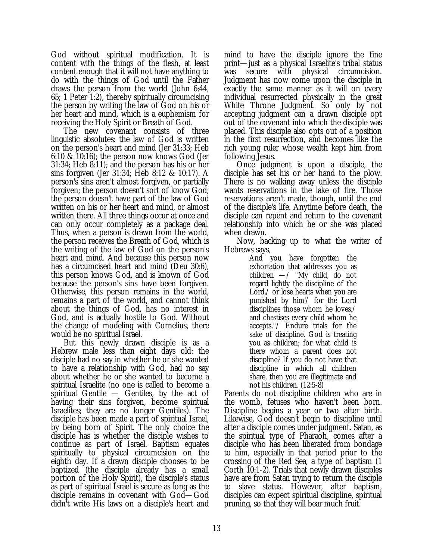God without spiritual modification. It is content with the things of the flesh, at least content enough that it will not have anything to do with the things of God until the Father draws the person from the world (John 6:44, 65; 1 Peter 1:2), thereby spiritually circumcising the person by writing the law of God on his or her heart and mind, which is a euphemism for receiving the Holy Spirit or Breath of God.

The new covenant consists of three linguistic absolutes: the law of God is written on the person's heart and mind (Jer 31:33; Heb 6:10 & 10:16); the person now knows God (Jer 31:34; Heb 8:11); and the person has his or her sins forgiven (Jer 31:34; Heb 8:12 & 10:17). A person's sins aren't almost forgiven, or partially forgiven; the person doesn't sort of know God; the person doesn't have part of the law of God written on his or her heart and mind, or almost written there. All three things occur at once and can only occur completely as a package deal. Thus, when a person is drawn from the world, the person receives the Breath of God, which is the writing of the law of God on the person's heart and mind. And because this person now has a circumcised heart and mind (Deu 30:6), this person knows God, and is known of God because the person's sins have been forgiven. Otherwise, this person remains in the world, remains a part of the world, and cannot think about the things of God, has no interest in God, and is actually hostile to God. Without the change of modeling with Cornelius, there would be no spiritual Israel.

But this newly drawn disciple is as a Hebrew male less than eight days old: the disciple had no say in whether he or she wanted to have a relationship with God, had no say about whether he or she wanted to become a spiritual Israelite (no one is called to become a spiritual Gentile — Gentiles, by the act of having their sins forgiven, become spiritual Israelites; they are no longer Gentiles). The disciple has been made a part of spiritual Israel, by being born of Spirit. The only choice the disciple has is whether the disciple wishes to continue as part of Israel. Baptism equates spiritually to physical circumcision on the eighth day. If a drawn disciple chooses to be baptized (the disciple already has a small portion of the Holy Spirit), the disciple's status as part of spiritual Israel is secure as long as the disciple remains in covenant with God— God didn't write His laws on a disciple's heart and

mind to have the disciple ignore the fine print— just as a physical Israelite's tribal status was secure with physical circumcision. Judgment has now come upon the disciple in exactly the same manner as it will on every individual resurrected physically in the great White Throne Judgment. So only by not accepting judgment can a drawn disciple opt out of the covenant into which the disciple was placed. This disciple also opts out of a position in the first resurrection, and becomes like the rich young ruler whose wealth kept him from following Jesus.

Once judgment is upon a disciple, the disciple has set his or her hand to the plow. There is no walking away unless the disciple wants reservations in the lake of fire. Those reservations aren't made, though, until the end of the disciple's life. Anytime before death, the disciple can repent and return to the covenant relationship into which he or she was placed when drawn.

Now, backing up to what the writer of Hebrews says,

And you have forgotten the exhortation that addresses you as children  $-$  / "My child, do not regard lightly the discipline of the Lord,/ or lose hearts when you are punished by him'/ for the Lord disciplines those whom he loves,/ and chastises every child whom he accepts."/ Endure trials for the sake of discipline. God is treating you as children; for what child is there whom a parent does not discipline? If you do not have that discipline in which all children share, then you are illegitimate and not his children. (12:5-8)

Parents do not discipline children who are in the womb, fetuses who haven't been born. Discipline begins a year or two after birth. Likewise, God doesn't begin to discipline until after a disciple comes under judgment. Satan, as the spiritual type of Pharaoh, comes after a disciple who has been liberated from bondage to him, especially in that period prior to the crossing of the Red Sea, a type of baptism (1 Corth 10:1-2). Trials that newly drawn disciples have are from Satan trying to return the disciple to slave status. However, after baptism, disciples can expect spiritual discipline, spiritual pruning, so that they will bear much fruit.